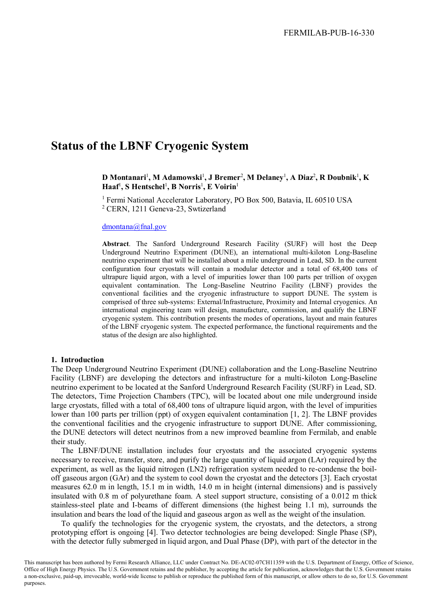# **Status of the LBNF Cryogenic System**

**D Montanari**<sup>1</sup> **, M Adamowski**<sup>1</sup> **, J Bremer**<sup>2</sup> **, M Delaney**<sup>1</sup> **, A Diaz**<sup>2</sup> **, R Doubnik**<sup>1</sup> **, K**   $\text{Haaf}^1$ , S Hentschel<sup>1</sup>, B Norris<sup>1</sup>, E Voirin<sup>1</sup>

<sup>1</sup> Fermi National Accelerator Laboratory, PO Box 500, Batavia, IL 60510 USA <sup>2</sup> CERN, 1211 Geneva-23, Swtizerland

#### [dmontana@fnal.gov](mailto:dmontana@fnal.gov)

**Abstract**. The Sanford Underground Research Facility (SURF) will host the Deep Underground Neutrino Experiment (DUNE), an international multi-kiloton Long-Baseline neutrino experiment that will be installed about a mile underground in Lead, SD. In the current configuration four cryostats will contain a modular detector and a total of 68,400 tons of ultrapure liquid argon, with a level of impurities lower than 100 parts per trillion of oxygen equivalent contamination. The Long-Baseline Neutrino Facility (LBNF) provides the conventional facilities and the cryogenic infrastructure to support DUNE. The system is comprised of three sub-systems: External/Infrastructure, Proximity and Internal cryogenics. An international engineering team will design, manufacture, commission, and qualify the LBNF cryogenic system. This contribution presents the modes of operations, layout and main features of the LBNF cryogenic system. The expected performance, the functional requirements and the status of the design are also highlighted.

#### **1. Introduction**

The Deep Underground Neutrino Experiment (DUNE) collaboration and the Long-Baseline Neutrino Facility (LBNF) are developing the detectors and infrastructure for a multi-kiloton Long-Baseline neutrino experiment to be located at the Sanford Underground Research Facility (SURF) in Lead, SD. The detectors, Time Projection Chambers (TPC), will be located about one mile underground inside large cryostats, filled with a total of 68,400 tons of ultrapure liquid argon, with the level of impurities lower than 100 parts per trillion (ppt) of oxygen equivalent contamination [1, 2]. The LBNF provides the conventional facilities and the cryogenic infrastructure to support DUNE. After commissioning, the DUNE detectors will detect neutrinos from a new improved beamline from Fermilab, and enable their study.

The LBNF/DUNE installation includes four cryostats and the associated cryogenic systems necessary to receive, transfer, store, and purify the large quantity of liquid argon (LAr) required by the experiment, as well as the liquid nitrogen (LN2) refrigeration system needed to re-condense the boiloff gaseous argon (GAr) and the system to cool down the cryostat and the detectors [3]. Each cryostat measures 62.0 m in length, 15.1 m in width, 14.0 m in height (internal dimensions) and is passively insulated with 0.8 m of polyurethane foam. A steel support structure, consisting of a 0.012 m thick stainless-steel plate and I-beams of different dimensions (the highest being 1.1 m), surrounds the insulation and bears the load of the liquid and gaseous argon as well as the weight of the insulation.

To qualify the technologies for the cryogenic system, the cryostats, and the detectors, a strong prototyping effort is ongoing [4]. Two detector technologies are being developed: Single Phase (SP), with the detector fully submerged in liquid argon, and Dual Phase (DP), with part of the detector in the

This manuscript has been authored by Fermi Research Alliance, LLC under Contract No. DE-AC02-07CH11359 with the U.S. Department of Energy, Office of Science, Office of High Energy Physics. The U.S. Government retains and the publisher, by accepting the article for publication, acknowledges that the U.S. Government retains a non-exclusive, paid-up, irrevocable, world-wide license to publish or reproduce the published form of this manuscript, or allow others to do so, for U.S. Government purposes.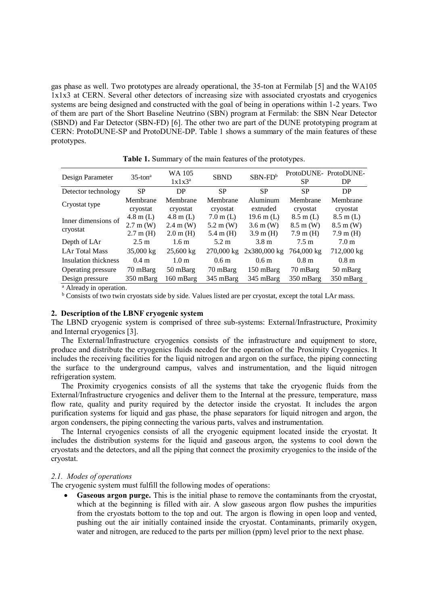gas phase as well. Two prototypes are already operational, the 35-ton at Fermilab [5] and the WA105 1x1x3 at CERN. Several other detectors of increasing size with associated cryostats and cryogenics systems are being designed and constructed with the goal of being in operations within 1-2 years. Two of them are part of the Short Baseline Neutrino (SBN) program at Fermilab: the SBN Near Detector (SBND) and Far Detector (SBN-FD) [6]. The other two are part of the DUNE prototyping program at CERN: ProtoDUNE-SP and ProtoDUNE-DP. Table 1 shows a summary of the main features of these prototypes.

| Design Parameter                | $35$ -ton <sup>a</sup> | WA 105<br>$1x1x3^a$  | <b>SBND</b>          | $SBN-FDb$            | <b>SP</b>            | ProtoDUNE-ProtoDUNE-<br>DP |
|---------------------------------|------------------------|----------------------|----------------------|----------------------|----------------------|----------------------------|
| Detector technology             | SP.                    | DP                   | <b>SP</b>            | <b>SP</b>            | <b>SP</b>            | DP                         |
| Cryostat type                   | Membrane<br>cryostat   | Membrane<br>cryostat | Membrane<br>cryostat | Aluminum<br>extruded | Membrane<br>cryostat | Membrane<br>cryostat       |
| Inner dimensions of<br>cryostat | $4.8 \text{ m}$ (L)    | $4.8 \text{ m}$ (L)  | $7.0 \text{ m}$ (L)  | 19.6 m $(L)$         | $8.5 \text{ m}$ (L)  | $8.5 \text{ m}$ (L)        |
|                                 | $2.7 \text{ m}$ (W)    | $2.4 \text{ m}$ (W)  | $5.2 \text{ m}$ (W)  | $3.6 \text{ m}$ (W)  | $8.5 \text{ m}$ (W)  | $8.5 \text{ m}$ (W)        |
|                                 | $2.7 \text{ m}$ (H)    | $2.0 \text{ m}$ (H)  | $5.4 \text{ m}$ (H)  | $3.9 \text{ m}$ (H)  | $7.9 \text{ m}$ (H)  | $7.9 \text{ m}$ (H)        |
| Depth of LAr                    | $2.5 \text{ m}$        | 1.6 <sub>m</sub>     | $5.2 \text{ m}$      | 3.8 <sub>m</sub>     | $7.5 \text{ m}$      | 7.0 <sub>m</sub>           |
| <b>LAr Total Mass</b>           | 35,000 kg              | $25,600$ kg          | 270,000 kg           | $2x380,000$ kg       | 764,000 kg           | 712,000 kg                 |
| Insulation thickness            | 0.4 <sub>m</sub>       | 1.0 <sub>m</sub>     | 0.6 <sub>m</sub>     | 0.6 <sub>m</sub>     | 0.8 <sub>m</sub>     | 0.8 <sub>m</sub>           |
| Operating pressure              | 70 mBarg               | 50 mBarg             | 70 mBarg             | 150 mBarg            | 70 mBarg             | 50 mBarg                   |
| Design pressure                 | 350 mBarg              | 160 mBarg            | 345 mBarg            | 345 mBarg            | 350 mBarg            | 350 mBarg                  |

**Table 1.** Summary of the main features of the prototypes.

<sup>a</sup> Already in operation.

<sup>b</sup> Consists of two twin cryostats side by side. Values listed are per cryostat, except the total LAr mass.

## **2. Description of the LBNF cryogenic system**

The LBND cryogenic system is comprised of three sub-systems: External/Infrastructure, Proximity and Internal cryogenics [3].

The External/Infrastructure cryogenics consists of the infrastructure and equipment to store, produce and distribute the cryogenics fluids needed for the operation of the Proximity Cryogenics. It includes the receiving facilities for the liquid nitrogen and argon on the surface, the piping connecting the surface to the underground campus, valves and instrumentation, and the liquid nitrogen refrigeration system.

The Proximity cryogenics consists of all the systems that take the cryogenic fluids from the External/Infrastructure cryogenics and deliver them to the Internal at the pressure, temperature, mass flow rate, quality and purity required by the detector inside the cryostat. It includes the argon purification systems for liquid and gas phase, the phase separators for liquid nitrogen and argon, the argon condensers, the piping connecting the various parts, valves and instrumentation.

The Internal cryogenics consists of all the cryogenic equipment located inside the cryostat. It includes the distribution systems for the liquid and gaseous argon, the systems to cool down the cryostats and the detectors, and all the piping that connect the proximity cryogenics to the inside of the cryostat.

#### *2.1. Modes of operations*

The cryogenic system must fulfill the following modes of operations:

• **Gaseous argon purge.** This is the initial phase to remove the contaminants from the cryostat, which at the beginning is filled with air. A slow gaseous argon flow pushes the impurities from the cryostats bottom to the top and out. The argon is flowing in open loop and vented, pushing out the air initially contained inside the cryostat. Contaminants, primarily oxygen, water and nitrogen, are reduced to the parts per million (ppm) level prior to the next phase.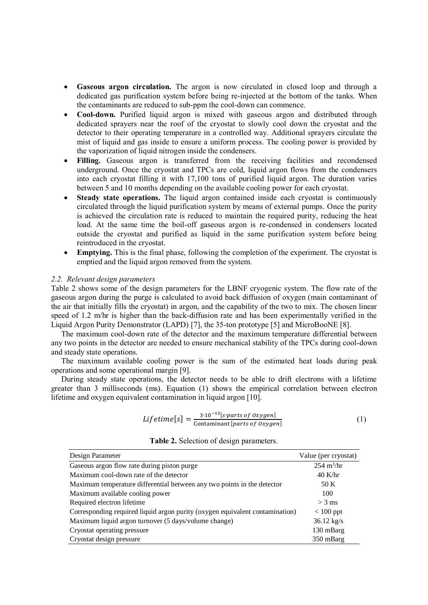- **Gaseous argon circulation.** The argon is now circulated in closed loop and through a dedicated gas purification system before being re-injected at the bottom of the tanks. When the contaminants are reduced to sub-ppm the cool-down can commence.
- **Cool-down.** Purified liquid argon is mixed with gaseous argon and distributed through dedicated sprayers near the roof of the cryostat to slowly cool down the cryostat and the detector to their operating temperature in a controlled way. Additional sprayers circulate the mist of liquid and gas inside to ensure a uniform process. The cooling power is provided by the vaporization of liquid nitrogen inside the condensers.
- **Filling.** Gaseous argon is transferred from the receiving facilities and recondensed underground. Once the cryostat and TPCs are cold, liquid argon flows from the condensers into each cryostat filling it with 17,100 tons of purified liquid argon. The duration varies between 5 and 10 months depending on the available cooling power for each cryostat.
- **Steady state operations.** The liquid argon contained inside each cryostat is continuously circulated through the liquid purification system by means of external pumps. Once the purity is achieved the circulation rate is reduced to maintain the required purity, reducing the heat load. At the same time the boil-off gaseous argon is re-condensed in condensers located outside the cryostat and purified as liquid in the same purification system before being reintroduced in the cryostat.
- **Emptying.** This is the final phase, following the completion of the experiment. The cryostat is emptied and the liquid argon removed from the system.

#### *2.2. Relevant design parameters*

Table 2 shows some of the design parameters for the LBNF cryogenic system. The flow rate of the gaseous argon during the purge is calculated to avoid back diffusion of oxygen (main contaminant of the air that initially fills the cryostat) in argon, and the capability of the two to mix. The chosen linear speed of 1.2 m/hr is higher than the back-diffusion rate and has been experimentally verified in the Liquid Argon Purity Demonstrator (LAPD) [7], the 35-ton prototype [5] and MicroBooNE [8].

The maximum cool-down rate of the detector and the maximum temperature differential between any two points in the detector are needed to ensure mechanical stability of the TPCs during cool-down and steady state operations.

The maximum available cooling power is the sum of the estimated heat loads during peak operations and some operational margin [9].

During steady state operations, the detector needs to be able to drift electrons with a lifetime greater than 3 milliseconds (ms). Equation (1) shows the empirical correlation between electron lifetime and oxygen equivalent contamination in liquid argon [10].

$$
Lifetime[s] = \frac{3 \cdot 10^{-13}[s \cdot parts \text{ of } 0xygen]}{\text{Contininant }[parts \text{ of } 0xygen]}
$$
 (1)

| Design Parameter                                                             | Value (per cryostat)        |  |
|------------------------------------------------------------------------------|-----------------------------|--|
| Gaseous argon flow rate during piston purge                                  | $254 \text{ m}^3/\text{hr}$ |  |
| Maximum cool-down rate of the detector                                       | $40$ K/hr                   |  |
| Maximum temperature differential between any two points in the detector      | 50 K                        |  |
| Maximum available cooling power                                              | 100                         |  |
| Required electron lifetime                                                   | $>$ 3 ms                    |  |
| Corresponding required liquid argon purity (oxygen equivalent contamination) | $< 100$ ppt                 |  |
| Maximum liquid argon turnover (5 days/volume change)                         | $36.12 \text{ kg/s}$        |  |
| Cryostat operating pressure                                                  | 130 mBarg                   |  |
| Cryostat design pressure                                                     | 350 mBarg                   |  |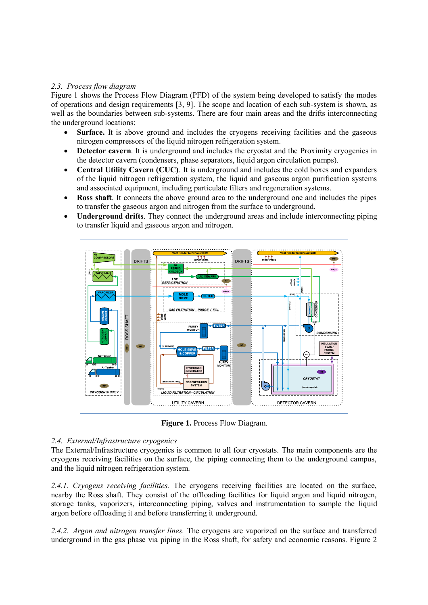## *2.3. Process flow diagram*

Figure 1 shows the Process Flow Diagram (PFD) of the system being developed to satisfy the modes of operations and design requirements [3, 9]. The scope and location of each sub-system is shown, as well as the boundaries between sub-systems. There are four main areas and the drifts interconnecting the underground locations:

- **Surface.** It is above ground and includes the cryogens receiving facilities and the gaseous nitrogen compressors of the liquid nitrogen refrigeration system.
- **Detector cavern**. It is underground and includes the cryostat and the Proximity cryogenics in the detector cavern (condensers, phase separators, liquid argon circulation pumps).
- **Central Utility Cavern (CUC)**. It is underground and includes the cold boxes and expanders of the liquid nitrogen refrigeration system, the liquid and gaseous argon purification systems and associated equipment, including particulate filters and regeneration systems.
- **Ross shaft**. It connects the above ground area to the underground one and includes the pipes to transfer the gaseous argon and nitrogen from the surface to underground.
- **Underground drifts**. They connect the underground areas and include interconnecting piping to transfer liquid and gaseous argon and nitrogen.



**Figure 1.** Process Flow Diagram.

## *2.4. External/Infrastructure cryogenics*

The External/Infrastructure cryogenics is common to all four cryostats. The main components are the cryogens receiving facilities on the surface, the piping connecting them to the underground campus, and the liquid nitrogen refrigeration system.

*2.4.1. Cryogens receiving facilities.* The cryogens receiving facilities are located on the surface, nearby the Ross shaft. They consist of the offloading facilities for liquid argon and liquid nitrogen, storage tanks, vaporizers, interconnecting piping, valves and instrumentation to sample the liquid argon before offloading it and before transferring it underground.

*2.4.2. Argon and nitrogen transfer lines.* The cryogens are vaporized on the surface and transferred underground in the gas phase via piping in the Ross shaft, for safety and economic reasons. Figure 2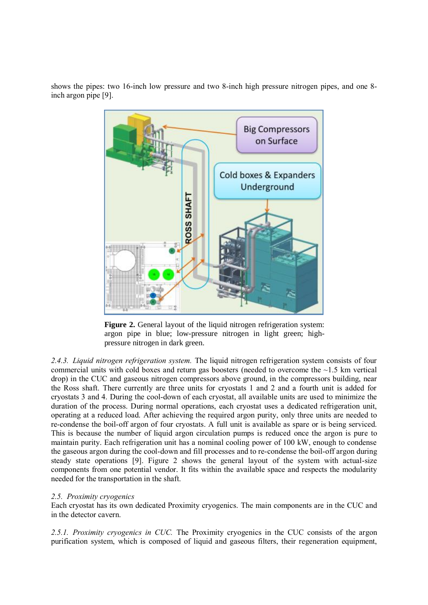shows the pipes: two 16-inch low pressure and two 8-inch high pressure nitrogen pipes, and one 8 inch argon pipe [9].



**Figure 2.** General layout of the liquid nitrogen refrigeration system: argon pipe in blue; low-pressure nitrogen in light green; highpressure nitrogen in dark green.

*2.4.3. Liquid nitrogen refrigeration system.* The liquid nitrogen refrigeration system consists of four commercial units with cold boxes and return gas boosters (needed to overcome the ~1.5 km vertical drop) in the CUC and gaseous nitrogen compressors above ground, in the compressors building, near the Ross shaft. There currently are three units for cryostats 1 and 2 and a fourth unit is added for cryostats 3 and 4. During the cool-down of each cryostat, all available units are used to minimize the duration of the process. During normal operations, each cryostat uses a dedicated refrigeration unit, operating at a reduced load. After achieving the required argon purity, only three units are needed to re-condense the boil-off argon of four cryostats. A full unit is available as spare or is being serviced. This is because the number of liquid argon circulation pumps is reduced once the argon is pure to maintain purity. Each refrigeration unit has a nominal cooling power of 100 kW, enough to condense the gaseous argon during the cool-down and fill processes and to re-condense the boil-off argon during steady state operations [9]. Figure 2 shows the general layout of the system with actual-size components from one potential vendor. It fits within the available space and respects the modularity needed for the transportation in the shaft.

## *2.5. Proximity cryogenics*

Each cryostat has its own dedicated Proximity cryogenics. The main components are in the CUC and in the detector cavern.

*2.5.1. Proximity cryogenics in CUC.* The Proximity cryogenics in the CUC consists of the argon purification system, which is composed of liquid and gaseous filters, their regeneration equipment,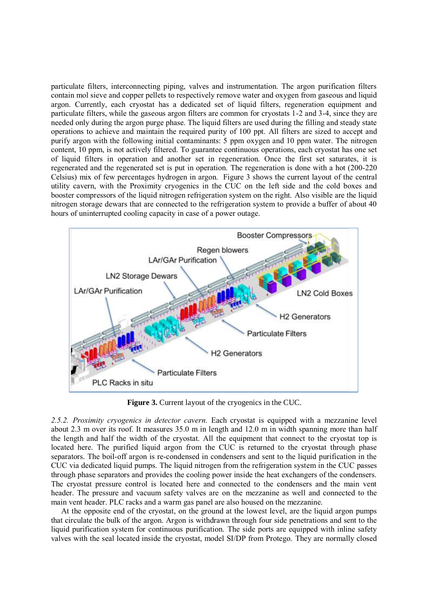particulate filters, interconnecting piping, valves and instrumentation. The argon purification filters contain mol sieve and copper pellets to respectively remove water and oxygen from gaseous and liquid argon. Currently, each cryostat has a dedicated set of liquid filters, regeneration equipment and particulate filters, while the gaseous argon filters are common for cryostats 1-2 and 3-4, since they are needed only during the argon purge phase. The liquid filters are used during the filling and steady state operations to achieve and maintain the required purity of 100 ppt. All filters are sized to accept and purify argon with the following initial contaminants: 5 ppm oxygen and 10 ppm water. The nitrogen content, 10 ppm, is not actively filtered. To guarantee continuous operations, each cryostat has one set of liquid filters in operation and another set in regeneration. Once the first set saturates, it is regenerated and the regenerated set is put in operation. The regeneration is done with a hot (200-220 Celsius) mix of few percentages hydrogen in argon. Figure 3 shows the current layout of the central utility cavern, with the Proximity cryogenics in the CUC on the left side and the cold boxes and booster compressors of the liquid nitrogen refrigeration system on the right. Also visible are the liquid nitrogen storage dewars that are connected to the refrigeration system to provide a buffer of about 40 hours of uninterrupted cooling capacity in case of a power outage.



**Figure 3.** Current layout of the cryogenics in the CUC.

*2.5.2. Proximity cryogenics in detector cavern.* Each cryostat is equipped with a mezzanine level about 2.3 m over its roof. It measures 35.0 m in length and 12.0 m in width spanning more than half the length and half the width of the cryostat. All the equipment that connect to the cryostat top is located here. The purified liquid argon from the CUC is returned to the cryostat through phase separators. The boil-off argon is re-condensed in condensers and sent to the liquid purification in the CUC via dedicated liquid pumps. The liquid nitrogen from the refrigeration system in the CUC passes through phase separators and provides the cooling power inside the heat exchangers of the condensers. The cryostat pressure control is located here and connected to the condensers and the main vent header. The pressure and vacuum safety valves are on the mezzanine as well and connected to the main vent header. PLC racks and a warm gas panel are also housed on the mezzanine.

At the opposite end of the cryostat, on the ground at the lowest level, are the liquid argon pumps that circulate the bulk of the argon. Argon is withdrawn through four side penetrations and sent to the liquid purification system for continuous purification. The side ports are equipped with inline safety valves with the seal located inside the cryostat, model SI/DP from Protego. They are normally closed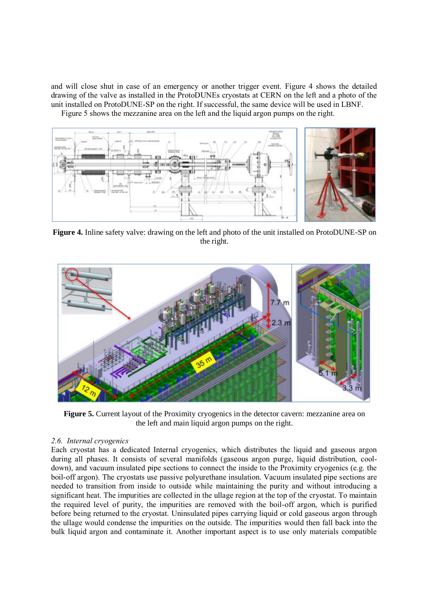and will close shut in case of an emergency or another trigger event. Figure 4 shows the detailed drawing of the valve as installed in the ProtoDUNEs cryostats at CERN on the left and a photo of the unit installed on ProtoDUNE-SP on the right. If successful, the same device will be used in LBNF.

Figure 5 shows the mezzanine area on the left and the liquid argon pumps on the right.



**Figure 4.** Inline safety valve: drawing on the left and photo of the unit installed on ProtoDUNE-SP on the right.



**Figure 5.** Current layout of the Proximity cryogenics in the detector cavern: mezzanine area on the left and main liquid argon pumps on the right.

## *2.6. Internal cryogenics*

Each cryostat has a dedicated Internal cryogenics, which distributes the liquid and gaseous argon during all phases. It consists of several manifolds (gaseous argon purge, liquid distribution, cooldown), and vacuum insulated pipe sections to connect the inside to the Proximity cryogenics (e.g. the boil-off argon). The cryostats use passive polyurethane insulation. Vacuum insulated pipe sections are needed to transition from inside to outside while maintaining the purity and without introducing a significant heat. The impurities are collected in the ullage region at the top of the cryostat. To maintain the required level of purity, the impurities are removed with the boil-off argon, which is purified before being returned to the cryostat. Uninsulated pipes carrying liquid or cold gaseous argon through the ullage would condense the impurities on the outside. The impurities would then fall back into the bulk liquid argon and contaminate it. Another important aspect is to use only materials compatible